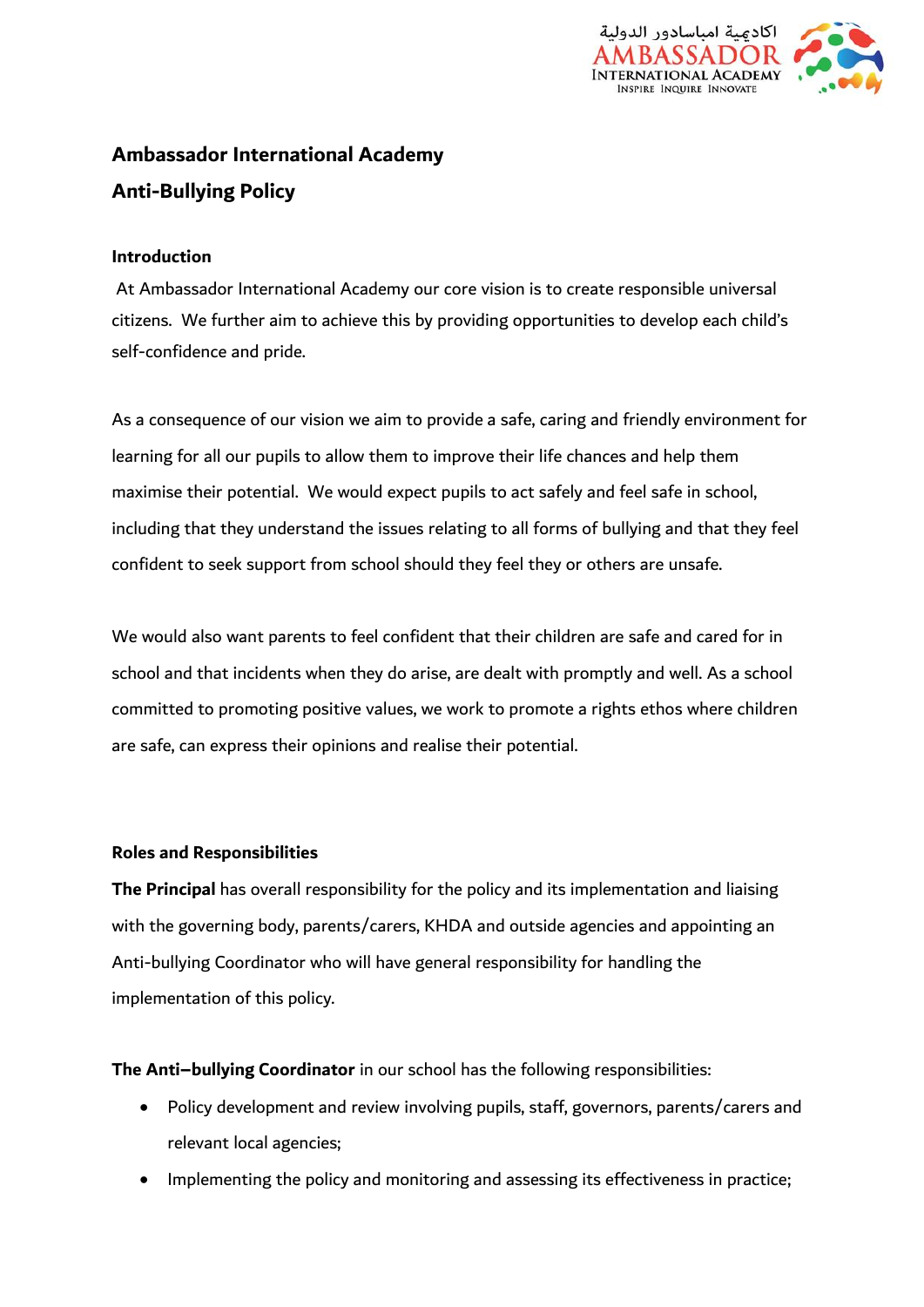

# **Ambassador International Academy Anti-Bullying Policy**

#### **Introduction**

At Ambassador International Academy our core vision is to create responsible universal citizens. We further aim to achieve this by providing opportunities to develop each child's self-confidence and pride.

As a consequence of our vision we aim to provide a safe, caring and friendly environment for learning for all our pupils to allow them to improve their life chances and help them maximise their potential. We would expect pupils to act safely and feel safe in school, including that they understand the issues relating to all forms of bullying and that they feel confident to seek support from school should they feel they or others are unsafe.

We would also want parents to feel confident that their children are safe and cared for in school and that incidents when they do arise, are dealt with promptly and well. As a school committed to promoting positive values, we work to promote a rights ethos where children are safe, can express their opinions and realise their potential.

#### **Roles and Responsibilities**

**The Principal** has overall responsibility for the policy and its implementation and liaising with the governing body, parents/carers, KHDA and outside agencies and appointing an Anti-bullying Coordinator who will have general responsibility for handling the implementation of this policy.

**The Anti–bullying Coordinator** in our school has the following responsibilities:

- Policy development and review involving pupils, staff, governors, parents/carers and relevant local agencies;
- Implementing the policy and monitoring and assessing its effectiveness in practice;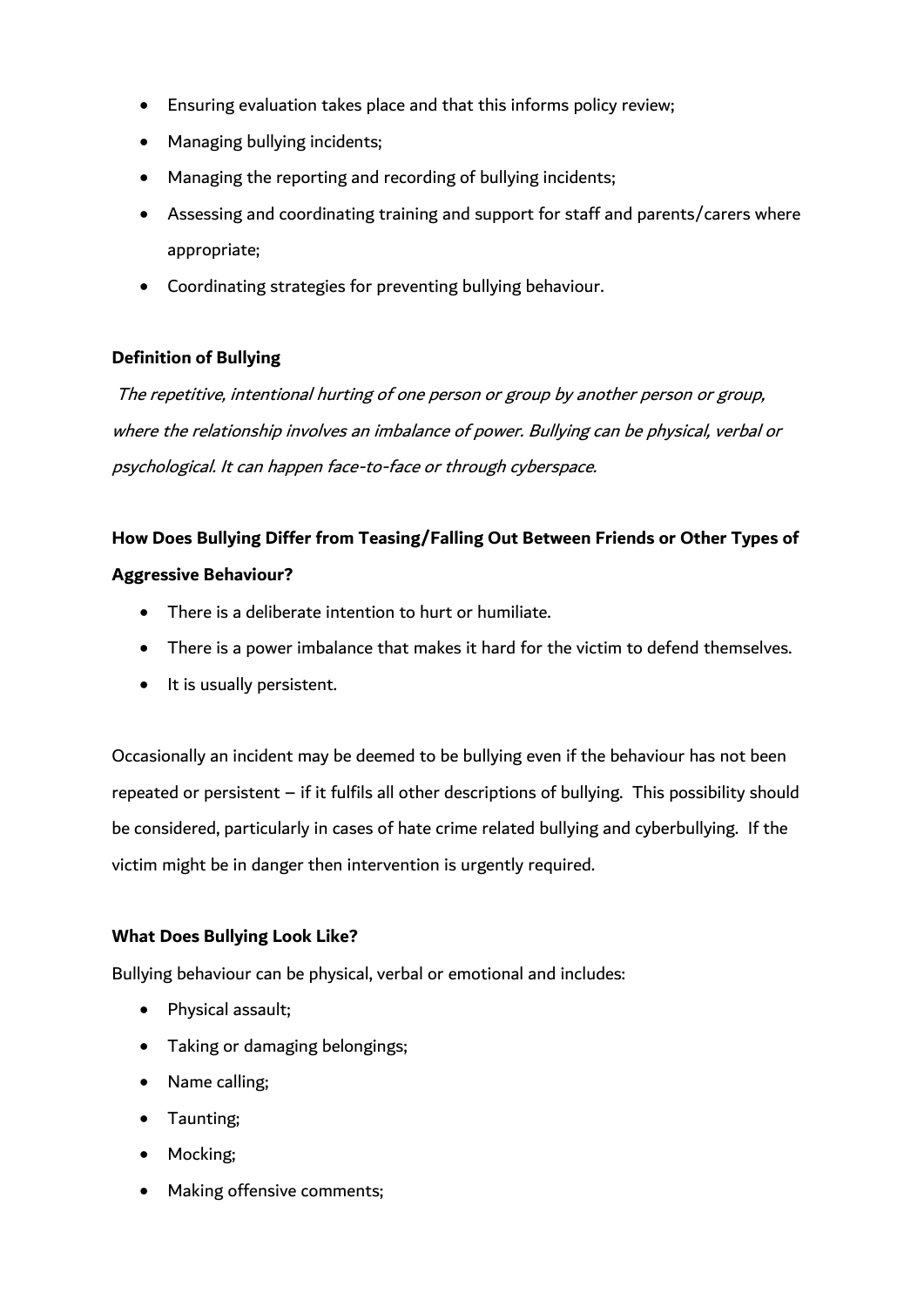- Ensuring evaluation takes place and that this informs policy review;
- Managing bullying incidents;
- Managing the reporting and recording of bullying incidents;
- Assessing and coordinating training and support for staff and parents/carers where appropriate;
- Coordinating strategies for preventing bullying behaviour.

# **Definition of Bullying**

The repetitive, intentional hurting of one person or group by another person or group, where the relationship involves an imbalance of power. Bullying can be physical, verbal or psychological. It can happen face-to-face or through cyberspace.

# **How Does Bullying Differ from Teasing/Falling Out Between Friends or Other Types of Aggressive Behaviour?**

- There is a deliberate intention to hurt or humiliate.
- There is a power imbalance that makes it hard for the victim to defend themselves.
- It is usually persistent.

Occasionally an incident may be deemed to be bullying even if the behaviour has not been repeated or persistent – if it fulfils all other descriptions of bullying. This possibility should be considered, particularly in cases of hate crime related bullying and cyberbullying. If the victim might be in danger then intervention is urgently required.

# **What Does Bullying Look Like?**

Bullying behaviour can be physical, verbal or emotional and includes:

- Physical assault;
- Taking or damaging belongings;
- Name calling;
- Taunting;
- Mocking:
- Making offensive comments;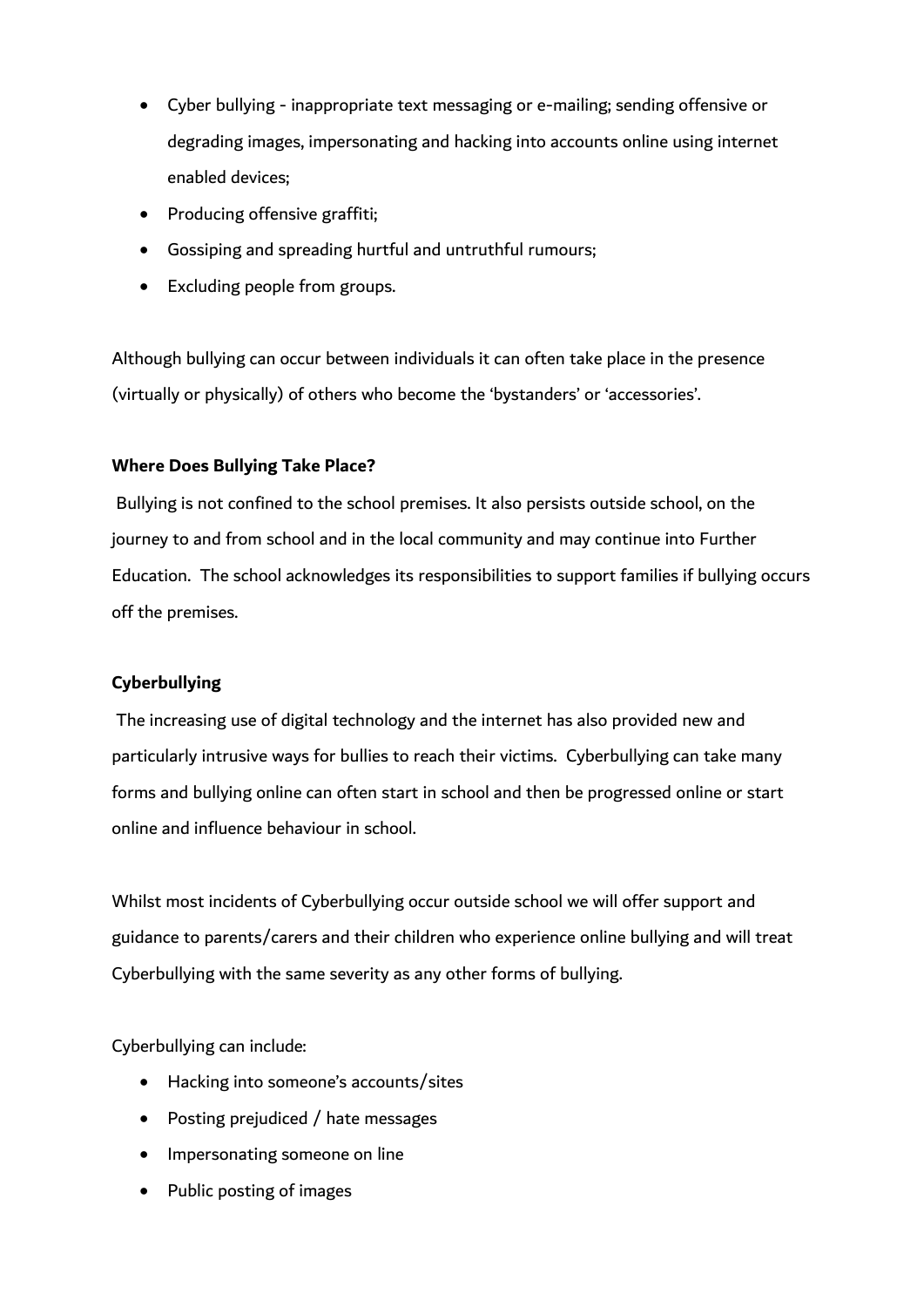- Cyber bullying inappropriate text messaging or e-mailing; sending offensive or degrading images, impersonating and hacking into accounts online using internet enabled devices;
- Producing offensive graffiti;
- Gossiping and spreading hurtful and untruthful rumours;
- Excluding people from groups.

Although bullying can occur between individuals it can often take place in the presence (virtually or physically) of others who become the 'bystanders' or 'accessories'.

### **Where Does Bullying Take Place?**

Bullying is not confined to the school premises. It also persists outside school, on the journey to and from school and in the local community and may continue into Further Education. The school acknowledges its responsibilities to support families if bullying occurs off the premises.

# **Cyberbullying**

The increasing use of digital technology and the internet has also provided new and particularly intrusive ways for bullies to reach their victims. Cyberbullying can take many forms and bullying online can often start in school and then be progressed online or start online and influence behaviour in school.

Whilst most incidents of Cyberbullying occur outside school we will offer support and guidance to parents/carers and their children who experience online bullying and will treat Cyberbullying with the same severity as any other forms of bullying.

Cyberbullying can include:

- Hacking into someone's accounts/sites
- Posting prejudiced / hate messages
- Impersonating someone on line
- Public posting of images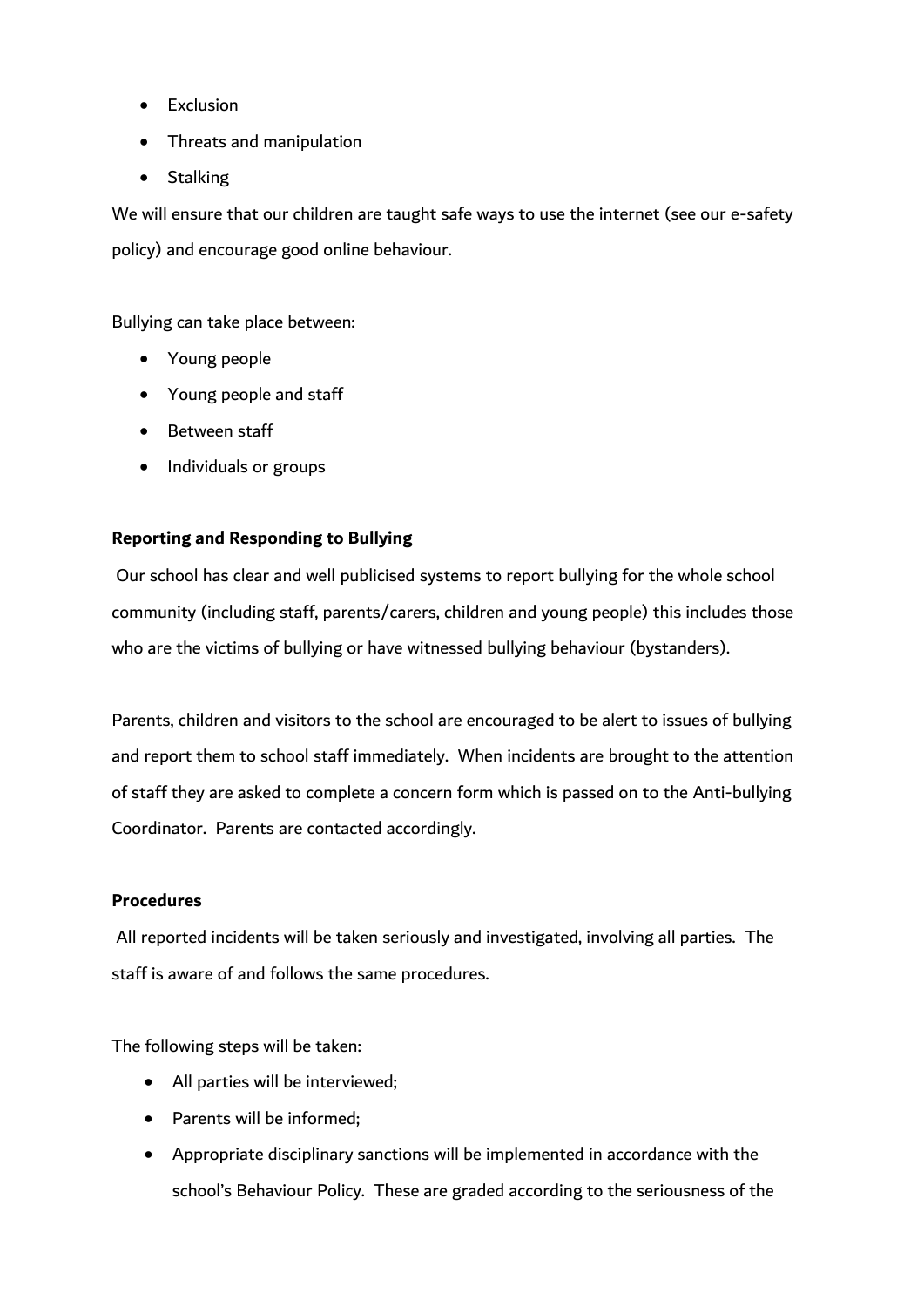- Exclusion
- Threats and manipulation
- Stalking

We will ensure that our children are taught safe ways to use the internet (see our e-safety policy) and encourage good online behaviour.

Bullying can take place between:

- Young people
- Young people and staff
- Between staff
- Individuals or groups

# **Reporting and Responding to Bullying**

Our school has clear and well publicised systems to report bullying for the whole school community (including staff, parents/carers, children and young people) this includes those who are the victims of bullying or have witnessed bullying behaviour (bystanders).

Parents, children and visitors to the school are encouraged to be alert to issues of bullying and report them to school staff immediately. When incidents are brought to the attention of staff they are asked to complete a concern form which is passed on to the Anti-bullying Coordinator. Parents are contacted accordingly.

#### **Procedures**

All reported incidents will be taken seriously and investigated, involving all parties. The staff is aware of and follows the same procedures.

The following steps will be taken:

- All parties will be interviewed;
- Parents will be informed:
- Appropriate disciplinary sanctions will be implemented in accordance with the school's Behaviour Policy. These are graded according to the seriousness of the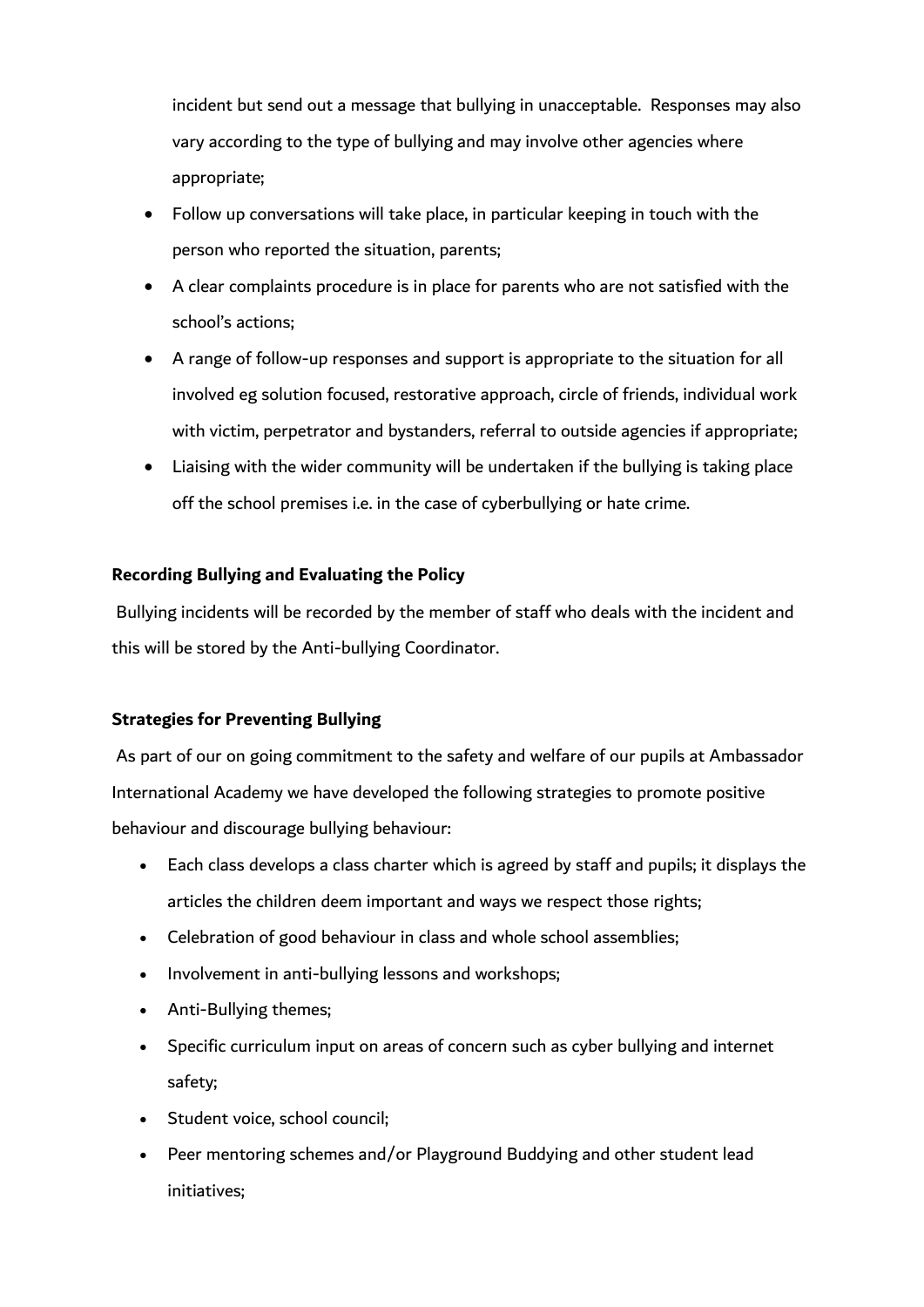incident but send out a message that bullying in unacceptable. Responses may also vary according to the type of bullying and may involve other agencies where appropriate;

- Follow up conversations will take place, in particular keeping in touch with the person who reported the situation, parents;
- A clear complaints procedure is in place for parents who are not satisfied with the school's actions;
- A range of follow-up responses and support is appropriate to the situation for all involved eg solution focused, restorative approach, circle of friends, individual work with victim, perpetrator and bystanders, referral to outside agencies if appropriate;
- Liaising with the wider community will be undertaken if the bullying is taking place off the school premises i.e. in the case of cyberbullying or hate crime.

### **Recording Bullying and Evaluating the Policy**

Bullying incidents will be recorded by the member of staff who deals with the incident and this will be stored by the Anti-bullying Coordinator.

#### **Strategies for Preventing Bullying**

As part of our on going commitment to the safety and welfare of our pupils at Ambassador International Academy we have developed the following strategies to promote positive behaviour and discourage bullying behaviour:

- Each class develops a class charter which is agreed by staff and pupils; it displays the articles the children deem important and ways we respect those rights;
- Celebration of good behaviour in class and whole school assemblies;
- Involvement in anti-bullying lessons and workshops;
- Anti-Bullying themes;
- Specific curriculum input on areas of concern such as cyber bullying and internet safety;
- Student voice, school council;
- Peer mentoring schemes and/or Playground Buddying and other student lead initiatives;